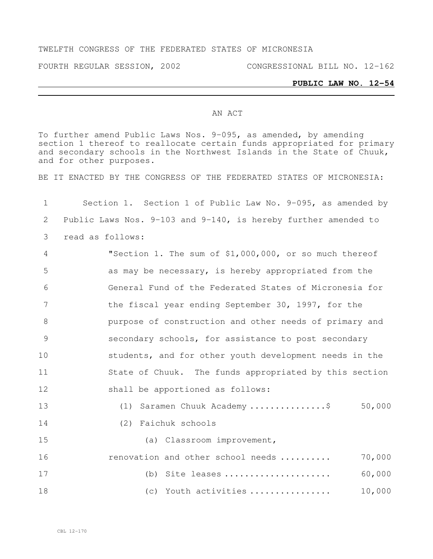#### TWELFTH CONGRESS OF THE FEDERATED STATES OF MICRONESIA

FOURTH REGULAR SESSION, 2002 CONGRESSIONAL BILL NO. 12-162

# **PUBLIC LAW NO. 12-54**

#### AN ACT

To further amend Public Laws Nos. 9-095, as amended, by amending section 1 thereof to reallocate certain funds appropriated for primary and secondary schools in the Northwest Islands in the State of Chuuk, and for other purposes.

BE IT ENACTED BY THE CONGRESS OF THE FEDERATED STATES OF MICRONESIA:

| 1  | Section 1. Section 1 of Public Law No. 9-095, as amended by         |
|----|---------------------------------------------------------------------|
| 2  | Public Laws Nos. $9-103$ and $9-140$ , is hereby further amended to |
| 3  | read as follows:                                                    |
| 4  | "Section 1. The sum of \$1,000,000, or so much thereof              |
| 5  | as may be necessary, is hereby appropriated from the                |
| 6  | General Fund of the Federated States of Micronesia for              |
| 7  | the fiscal year ending September 30, 1997, for the                  |
| 8  | purpose of construction and other needs of primary and              |
| 9  | secondary schools, for assistance to post secondary                 |
| 10 | students, and for other youth development needs in the              |
| 11 | State of Chuuk. The funds appropriated by this section              |
| 12 | shall be apportioned as follows:                                    |
| 13 | 50,000<br>(1) Saramen Chuuk Academy \$                              |
| 14 | (2) Faichuk schools                                                 |
| 15 | (a) Classroom improvement,                                          |
| 16 | 70,000<br>renovation and other school needs                         |
| 17 | 60,000<br>(b) Site leases                                           |
| 18 | 10,000<br>(c) Youth activities                                      |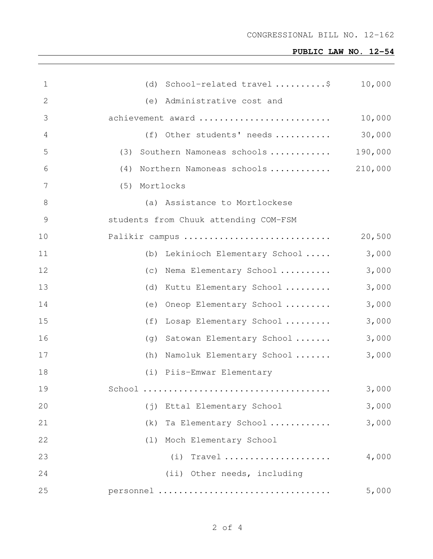## **PUBLIC LAW NO. 12-54**

| $\mathbf{1}$ | (d) School-related travel $\ldots \ldots \ldots$ \$ | 10,000  |
|--------------|-----------------------------------------------------|---------|
| 2            | (e) Administrative cost and                         |         |
| 3            | achievement award                                   | 10,000  |
| 4            | (f) Other students' needs                           | 30,000  |
| 5            | (3) Southern Namoneas schools                       | 190,000 |
| 6            | (4) Northern Namoneas schools                       | 210,000 |
| 7            | (5) Mortlocks                                       |         |
| 8            | (a) Assistance to Mortlockese                       |         |
| 9            | students from Chuuk attending COM-FSM               |         |
| 10           | Palikir campus                                      | 20,500  |
| 11           | (b) Lekinioch Elementary School                     | 3,000   |
| 12           | (c) Nema Elementary School                          | 3,000   |
| 13           | (d) Kuttu Elementary School                         | 3,000   |
| 14           | Oneop Elementary School<br>(e)                      | 3,000   |
| 15           | (f)<br>Losap Elementary School                      | 3,000   |
| 16           | (g) Satowan Elementary School                       | 3,000   |
| 17           | (h) Namoluk Elementary School                       | 3,000   |
| 18           | (i) Piis-Emwar Elementary                           |         |
| 19           |                                                     | 3,000   |
| 20           | Ettal Elementary School<br>$(\dagger)$              | 3,000   |
| 21           | (k)<br>Ta Elementary School                         | 3,000   |
| 22           | Moch Elementary School<br>(1)                       |         |
| 23           | $(i)$ Travel                                        | 4,000   |
| 24           | (ii) Other needs, including                         |         |
| 25           | personnel                                           | 5,000   |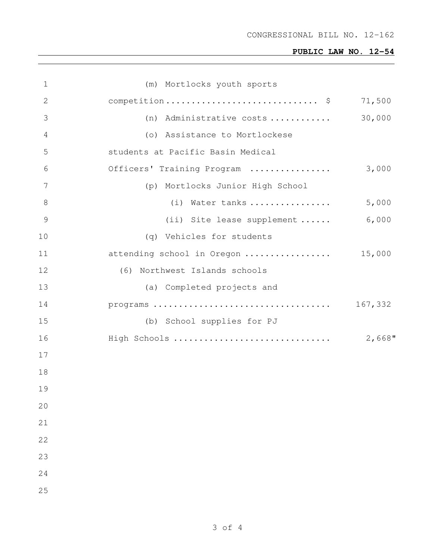## **PUBLIC LAW NO. 12-54**

| 1             | (m) Mortlocks youth sports        |         |
|---------------|-----------------------------------|---------|
| 2             | competition \$                    | 71,500  |
| 3             | (n) Administrative costs          | 30,000  |
| 4             | (o) Assistance to Mortlockese     |         |
| 5             | students at Pacific Basin Medical |         |
| 6             | Officers' Training Program        | 3,000   |
| 7             | (p) Mortlocks Junior High School  |         |
| 8             | (i) Water tanks                   | 5,000   |
| $\mathcal{G}$ | (ii) Site lease supplement        | 6,000   |
| 10            | (q) Vehicles for students         |         |
| 11            | attending school in Oregon        | 15,000  |
| 12            | (6) Northwest Islands schools     |         |
| 13            | (a) Completed projects and        |         |
| 14            |                                   | 167,332 |
| 15            | (b) School supplies for PJ        |         |
| 16            | High Schools                      | 2,668"  |
| 17            |                                   |         |
| 18            |                                   |         |
| 19            |                                   |         |
| 20            |                                   |         |
| 21            |                                   |         |
| 22            |                                   |         |
| 23            |                                   |         |
| 24            |                                   |         |
| 25            |                                   |         |